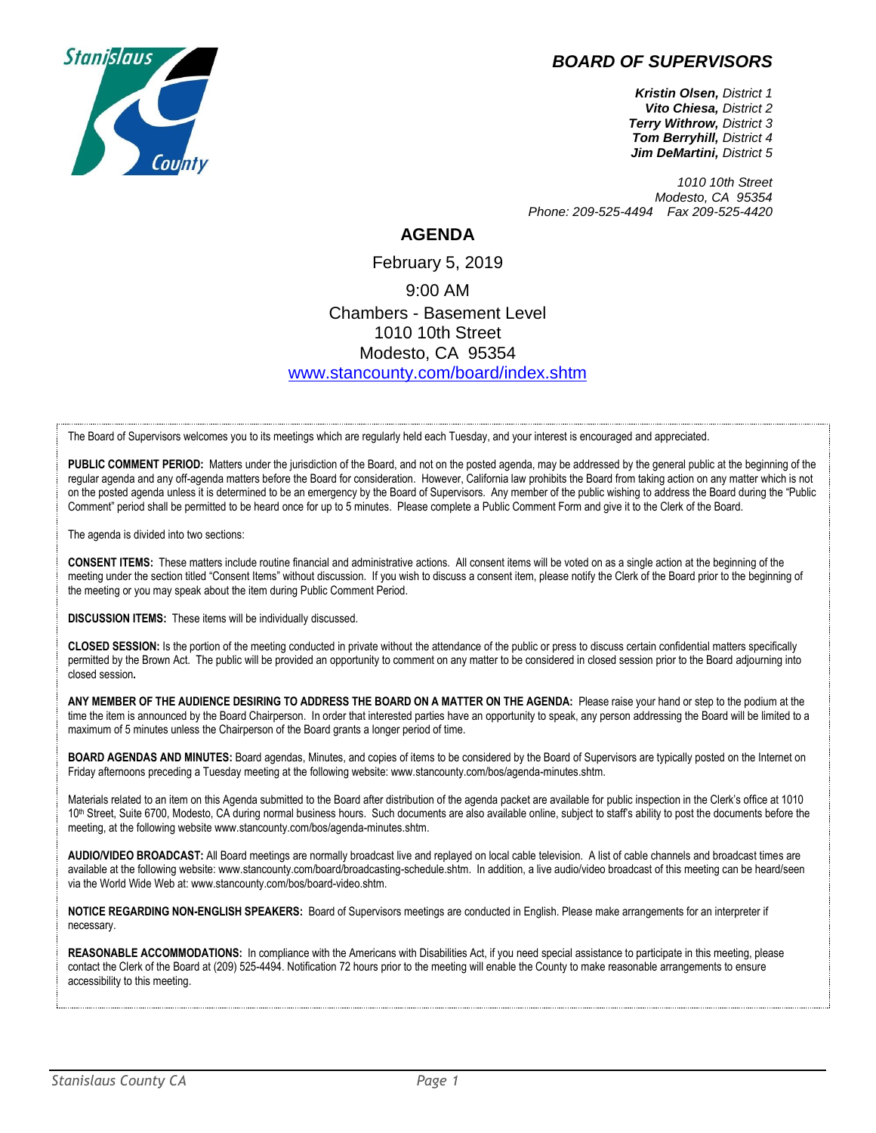## *BOARD OF SUPERVISORS*



*Kristin Olsen, District 1 Vito Chiesa, District 2 Terry Withrow, District 3 Tom Berryhill, District 4 Jim DeMartini, District 5*

*1010 10th Street Modesto, CA 95354 Phone: 209-525-4494 Fax 209-525-4420*

## **AGENDA**

February 5, 2019 9:00 AM Chambers - Basement Level 1010 10th Street Modesto, CA 95354 [www.stancounty.com/board/index.shtm](http://www.stancounty.com/board/index.shtm)

The Board of Supervisors welcomes you to its meetings which are regularly held each Tuesday, and your interest is encouraged and appreciated.

PUBLIC COMMENT PERIOD: Matters under the jurisdiction of the Board, and not on the posted agenda, may be addressed by the general public at the beginning of the regular agenda and any off-agenda matters before the Board for consideration. However, California law prohibits the Board from taking action on any matter which is not on the posted agenda unless it is determined to be an emergency by the Board of Supervisors. Any member of the public wishing to address the Board during the "Public Comment" period shall be permitted to be heard once for up to 5 minutes. Please complete a Public Comment Form and give it to the Clerk of the Board.

The agenda is divided into two sections:

**CONSENT ITEMS:** These matters include routine financial and administrative actions. All consent items will be voted on as a single action at the beginning of the meeting under the section titled "Consent Items" without discussion. If you wish to discuss a consent item, please notify the Clerk of the Board prior to the beginning of the meeting or you may speak about the item during Public Comment Period.

**DISCUSSION ITEMS:** These items will be individually discussed.

**CLOSED SESSION:** Is the portion of the meeting conducted in private without the attendance of the public or press to discuss certain confidential matters specifically permitted by the Brown Act. The public will be provided an opportunity to comment on any matter to be considered in closed session prior to the Board adjourning into closed session**.**

**ANY MEMBER OF THE AUDIENCE DESIRING TO ADDRESS THE BOARD ON A MATTER ON THE AGENDA:** Please raise your hand or step to the podium at the time the item is announced by the Board Chairperson. In order that interested parties have an opportunity to speak, any person addressing the Board will be limited to a maximum of 5 minutes unless the Chairperson of the Board grants a longer period of time.

**BOARD AGENDAS AND MINUTES:** Board agendas, Minutes, and copies of items to be considered by the Board of Supervisors are typically posted on the Internet on Friday afternoons preceding a Tuesday meeting at the following website: www.stancounty.com/bos/agenda-minutes.shtm.

Materials related to an item on this Agenda submitted to the Board after distribution of the agenda packet are available for public inspection in the Clerk's office at 1010 10<sup>th</sup> Street, Suite 6700, Modesto, CA during normal business hours. Such documents are also available online, subject to staff's ability to post the documents before the meeting, at the following website www.stancounty.com/bos/agenda-minutes.shtm.

**AUDIO/VIDEO BROADCAST:** All Board meetings are normally broadcast live and replayed on local cable television. A list of cable channels and broadcast times are available at the following website: www.stancounty.com/board/broadcasting-schedule.shtm. In addition, a live audio/video broadcast of this meeting can be heard/seen via the World Wide Web at: www.stancounty.com/bos/board-video.shtm.

**NOTICE REGARDING NON-ENGLISH SPEAKERS:** Board of Supervisors meetings are conducted in English. Please make arrangements for an interpreter if necessary.

**REASONABLE ACCOMMODATIONS:** In compliance with the Americans with Disabilities Act, if you need special assistance to participate in this meeting, please contact the Clerk of the Board at (209) 525-4494. Notification 72 hours prior to the meeting will enable the County to make reasonable arrangements to ensure accessibility to this meeting.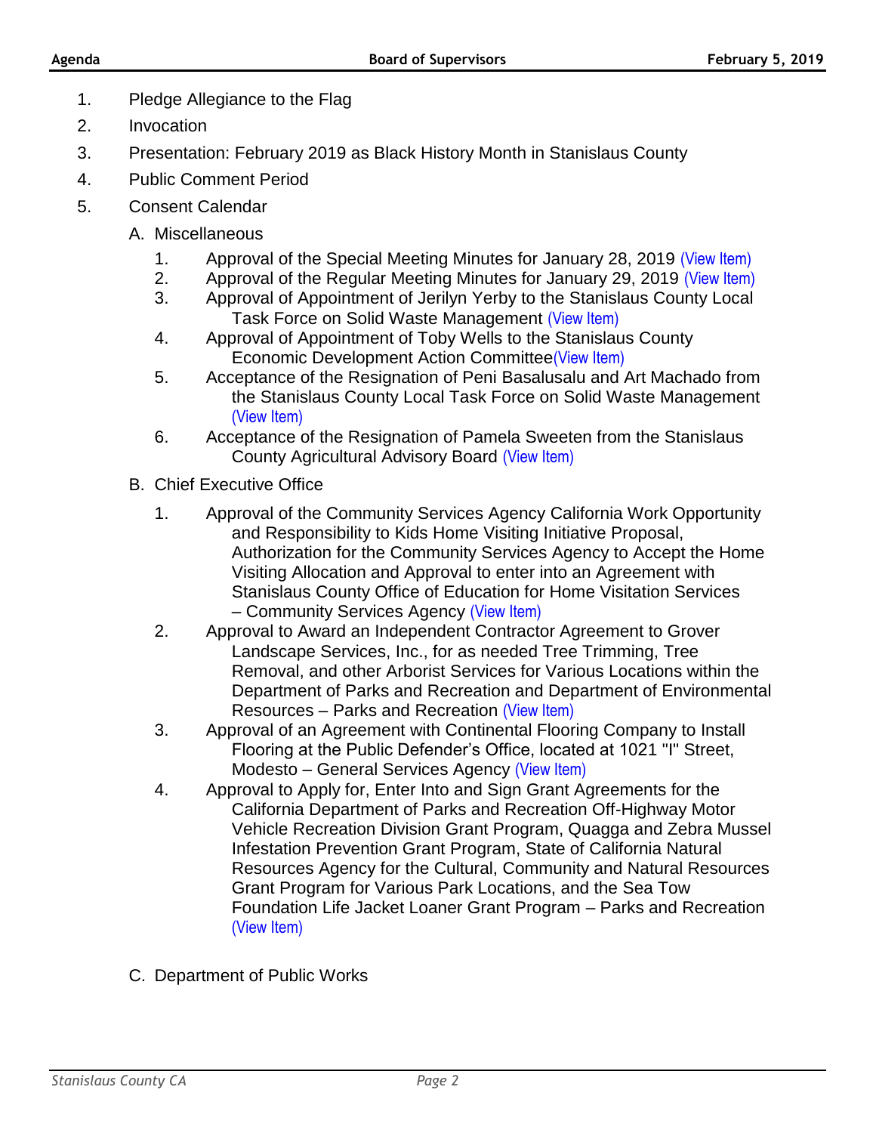- 1. Pledge Allegiance to the Flag
- 2. Invocation
- 3. Presentation: February 2019 as Black History Month in Stanislaus County
- 4. Public Comment Period
- 5. Consent Calendar
	- A. Miscellaneous
		- 1. Approval of the Special Meeting Minutes for January 28, 2019 [\(View Item\)](http://stancounty.com/bos/minutes/2019/min01-28-19.pdf)
		- 2. Approval of the Regular Meeting Minutes for January 29, 2019 [\(View Item\)](http://stancounty.com/bos/minutes/2019/min01-29-19.pdf)
		- 3. Approval of Appointment of Jerilyn Yerby to the Stanislaus County Local Task Force on Solid Waste Management [\(View Item\)](http://stancounty.com/bos/agenda/2019/20190205/A03.pdf)
		- 4. Approval of Appointment of Toby Wells to the Stanislaus County Economic Development Action Committee[\(View Item\)](http://stancounty.com/bos/agenda/2019/20190205/A04.pdf)
		- 5. Acceptance of the Resignation of Peni Basalusalu and Art Machado from the Stanislaus County Local Task Force on Solid Waste Management [\(View Item\)](http://stancounty.com/bos/agenda/2019/20190205/A05.pdf)
		- 6. Acceptance of the Resignation of Pamela Sweeten from the Stanislaus County Agricultural Advisory Board [\(View Item\)](http://stancounty.com/bos/agenda/2019/20190205/A06.pdf)
	- B. Chief Executive Office
		- 1. Approval of the Community Services Agency California Work Opportunity and Responsibility to Kids Home Visiting Initiative Proposal, Authorization for the Community Services Agency to Accept the Home Visiting Allocation and Approval to enter into an Agreement with Stanislaus County Office of Education for Home Visitation Services – Community Services Agency [\(View Item\)](http://stancounty.com/bos/agenda/2019/20190205/B01.pdf)
		- 2. Approval to Award an Independent Contractor Agreement to Grover Landscape Services, Inc., for as needed Tree Trimming, Tree Removal, and other Arborist Services for Various Locations within the Department of Parks and Recreation and Department of Environmental Resources – Parks and Recreation [\(View Item\)](http://stancounty.com/bos/agenda/2019/20190205/B02.pdf)
		- 3. Approval of an Agreement with Continental Flooring Company to Install Flooring at the Public Defender's Office, located at 1021 "I" Street, Modesto – General Services Agency [\(View Item\)](http://stancounty.com/bos/agenda/2019/20190205/B03.pdf)
		- 4. Approval to Apply for, Enter Into and Sign Grant Agreements for the California Department of Parks and Recreation Off-Highway Motor Vehicle Recreation Division Grant Program, Quagga and Zebra Mussel Infestation Prevention Grant Program, State of California Natural Resources Agency for the Cultural, Community and Natural Resources Grant Program for Various Park Locations, and the Sea Tow Foundation Life Jacket Loaner Grant Program – Parks and Recreation [\(View Item\)](http://stancounty.com/bos/agenda/2019/20190205/B04.pdf)
	- C. Department of Public Works